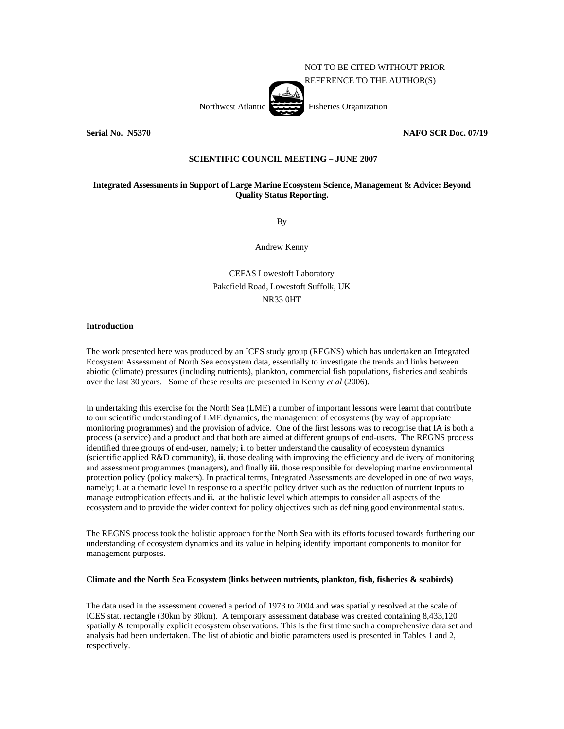

**Serial No. N5370 NAFO SCR Doc. 07/19** 

# **SCIENTIFIC COUNCIL MEETING – JUNE 2007**

# **Integrated Assessments in Support of Large Marine Ecosystem Science, Management & Advice: Beyond Quality Status Reporting.**

By

Andrew Kenny

CEFAS Lowestoft Laboratory Pakefield Road, Lowestoft Suffolk, UK NR33 0HT

## **Introduction**

The work presented here was produced by an ICES study group (REGNS) which has undertaken an Integrated Ecosystem Assessment of North Sea ecosystem data, essentially to investigate the trends and links between abiotic (climate) pressures (including nutrients), plankton, commercial fish populations, fisheries and seabirds over the last 30 years. Some of these results are presented in Kenny *et al* (2006).

In undertaking this exercise for the North Sea (LME) a number of important lessons were learnt that contribute to our scientific understanding of LME dynamics, the management of ecosystems (by way of appropriate monitoring programmes) and the provision of advice. One of the first lessons was to recognise that IA is both a process (a service) and a product and that both are aimed at different groups of end-users. The REGNS process identified three groups of end-user, namely; **i**. to better understand the causality of ecosystem dynamics (scientific applied R&D community), **ii**. those dealing with improving the efficiency and delivery of monitoring and assessment programmes (managers), and finally **iii**. those responsible for developing marine environmental protection policy (policy makers). In practical terms, Integrated Assessments are developed in one of two ways, namely; **i**. at a thematic level in response to a specific policy driver such as the reduction of nutrient inputs to manage eutrophication effects and **ii.** at the holistic level which attempts to consider all aspects of the ecosystem and to provide the wider context for policy objectives such as defining good environmental status.

The REGNS process took the holistic approach for the North Sea with its efforts focused towards furthering our understanding of ecosystem dynamics and its value in helping identify important components to monitor for management purposes.

## **Climate and the North Sea Ecosystem (links between nutrients, plankton, fish, fisheries & seabirds)**

The data used in the assessment covered a period of 1973 to 2004 and was spatially resolved at the scale of ICES stat. rectangle (30km by 30km). A temporary assessment database was created containing 8,433,120 spatially & temporally explicit ecosystem observations. This is the first time such a comprehensive data set and analysis had been undertaken. The list of abiotic and biotic parameters used is presented in Tables 1 and 2, respectively.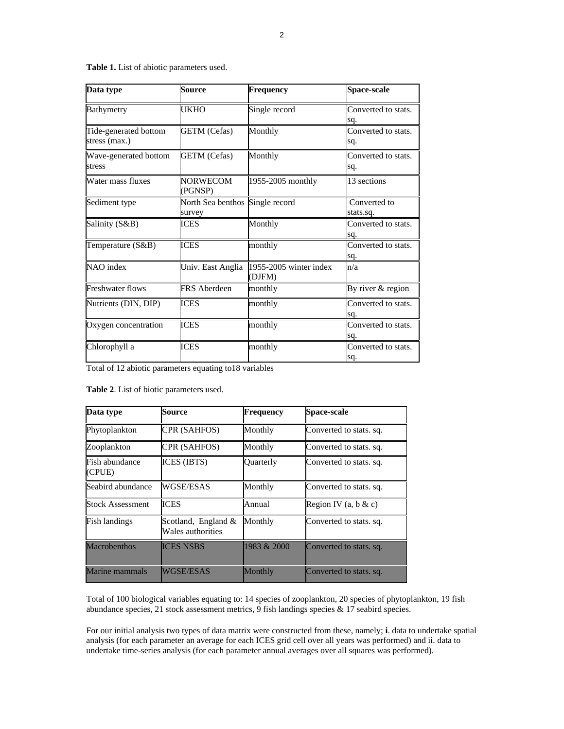|  |  |  |  | Table 1. List of abiotic parameters used. |  |
|--|--|--|--|-------------------------------------------|--|
|--|--|--|--|-------------------------------------------|--|

| Data type                              | <b>Source</b>                             | <b>Frequency</b>                 | Space-scale                |  |
|----------------------------------------|-------------------------------------------|----------------------------------|----------------------------|--|
| <b>Bathymetry</b>                      | UKHO                                      | Single record                    | Converted to stats.<br>sq. |  |
| Tide-generated bottom<br>stress (max.) | <b>GETM</b> (Cefas)                       | Monthly                          | Converted to stats.<br>sq. |  |
| Wave-generated bottom<br>stress        | <b>GETM</b> (Cefas)                       | Monthly                          | Converted to stats.<br>sq. |  |
| Water mass fluxes                      | <b>NORWECOM</b><br>(PGNSP)                | 1955-2005 monthly                | 13 sections                |  |
| Sediment type                          | North Sea benthos Single record<br>survey |                                  | Converted to<br>stats.sq.  |  |
| Salinity (S&B)                         | <b>ICES</b>                               | Monthly                          | Converted to stats.<br>sq. |  |
| Temperature (S&B)                      | <b>ICES</b>                               | monthly                          | Converted to stats.<br>sq. |  |
| NAO index                              | Univ. East Anglia                         | 1955-2005 winter index<br>(DJFM) | n/a                        |  |
| <b>Freshwater flows</b>                | <b>FRS</b> Aberdeen                       | monthly                          | By river & region          |  |
| Nutrients (DIN, DIP)                   | <b>ICES</b>                               | monthly                          | Converted to stats.<br>sq. |  |
| Oxygen concentration                   | <b>ICES</b>                               | monthly                          | Converted to stats.<br>sa. |  |
| Chlorophyll a                          | <b>ICES</b>                               | monthly                          | Converted to stats.<br>sq. |  |

Total of 12 abiotic parameters equating to18 variables

| Table 2. List of biotic parameters used. |  |
|------------------------------------------|--|
|------------------------------------------|--|

| Data type                | Source                                      | <b>Frequency</b> | <b>Space-scale</b>       |
|--------------------------|---------------------------------------------|------------------|--------------------------|
| Phytoplankton            | CPR (SAHFOS)                                | Monthly          | Converted to stats. sq.  |
| Zooplankton              | CPR (SAHFOS)                                | Monthly          | Converted to stats. sq.  |
| Fish abundance<br>(CPUE) | ICES (IBTS)                                 | Quarterly        | Converted to stats. sq.  |
| Seabird abundance        | <b>WGSE/ESAS</b>                            | Monthly          | Converted to stats. sq.  |
| <b>Stock Assessment</b>  | ICES                                        | Annual           | Region IV (a, $b \& c$ ) |
| Fish landings            | Scotland, England $\&$<br>Wales authorities | Monthly          | Converted to stats. sq.  |
| <b>Macrobenthos</b>      | <b>ICES NSBS</b>                            | 1983 & 2000      | Converted to stats. sq.  |
| Marine mammals           | WGSE/ESAS                                   | Monthly          | Converted to stats. sq.  |

Total of 100 biological variables equating to: 14 species of zooplankton, 20 species of phytoplankton, 19 fish abundance species, 21 stock assessment metrics, 9 fish landings species & 17 seabird species.

For our initial analysis two types of data matrix were constructed from these, namely; **i**. data to undertake spatial analysis (for each parameter an average for each ICES grid cell over all years was performed) and ii. data to undertake time-series analysis (for each parameter annual averages over all squares was performed).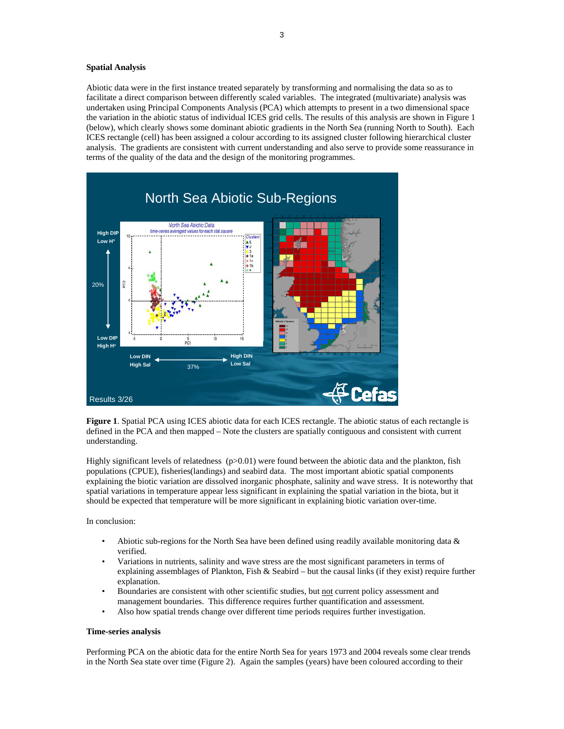#### **Spatial Analysis**

Abiotic data were in the first instance treated separately by transforming and normalising the data so as to facilitate a direct comparison between differently scaled variables. The integrated (multivariate) analysis was undertaken using Principal Components Analysis (PCA) which attempts to present in a two dimensional space the variation in the abiotic status of individual ICES grid cells. The results of this analysis are shown in Figure 1 (below), which clearly shows some dominant abiotic gradients in the North Sea (running North to South). Each ICES rectangle (cell) has been assigned a colour according to its assigned cluster following hierarchical cluster analysis. The gradients are consistent with current understanding and also serve to provide some reassurance in terms of the quality of the data and the design of the monitoring programmes.



**Figure 1**. Spatial PCA using ICES abiotic data for each ICES rectangle. The abiotic status of each rectangle is defined in the PCA and then mapped – Note the clusters are spatially contiguous and consistent with current understanding.

Highly significant levels of relatedness  $(p>0.01)$  were found between the abiotic data and the plankton, fish populations (CPUE), fisheries(landings) and seabird data. The most important abiotic spatial components explaining the biotic variation are dissolved inorganic phosphate, salinity and wave stress. It is noteworthy that spatial variations in temperature appear less significant in explaining the spatial variation in the biota, but it should be expected that temperature will be more significant in explaining biotic variation over-time.

## In conclusion:

- Abiotic sub-regions for the North Sea have been defined using readily available monitoring data  $\&$ verified.
- Variations in nutrients, salinity and wave stress are the most significant parameters in terms of explaining assemblages of Plankton, Fish & Seabird – but the causal links (if they exist) require further explanation.
- Boundaries are consistent with other scientific studies, but not current policy assessment and management boundaries. This difference requires further quantification and assessment.
- Also how spatial trends change over different time periods requires further investigation.

## **Time-series analysis**

Performing PCA on the abiotic data for the entire North Sea for years 1973 and 2004 reveals some clear trends in the North Sea state over time (Figure 2). Again the samples (years) have been coloured according to their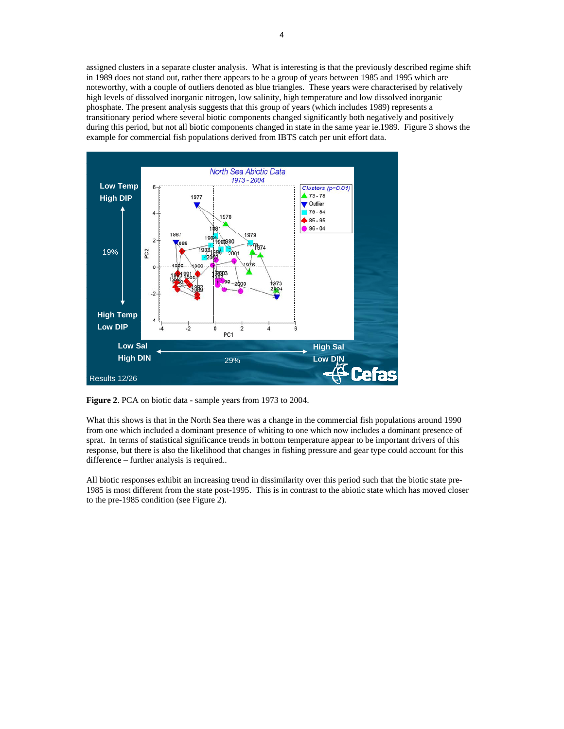assigned clusters in a separate cluster analysis. What is interesting is that the previously described regime shift in 1989 does not stand out, rather there appears to be a group of years between 1985 and 1995 which are noteworthy, with a couple of outliers denoted as blue triangles. These years were characterised by relatively high levels of dissolved inorganic nitrogen, low salinity, high temperature and low dissolved inorganic phosphate. The present analysis suggests that this group of years (which includes 1989) represents a transitionary period where several biotic components changed significantly both negatively and positively during this period, but not all biotic components changed in state in the same year ie.1989. Figure 3 shows the example for commercial fish populations derived from IBTS catch per unit effort data.



**Figure 2**. PCA on biotic data - sample years from 1973 to 2004.

What this shows is that in the North Sea there was a change in the commercial fish populations around 1990 from one which included a dominant presence of whiting to one which now includes a dominant presence of sprat. In terms of statistical significance trends in bottom temperature appear to be important drivers of this response, but there is also the likelihood that changes in fishing pressure and gear type could account for this difference – further analysis is required..

All biotic responses exhibit an increasing trend in dissimilarity over this period such that the biotic state pre-1985 is most different from the state post-1995. This is in contrast to the abiotic state which has moved closer to the pre-1985 condition (see Figure 2).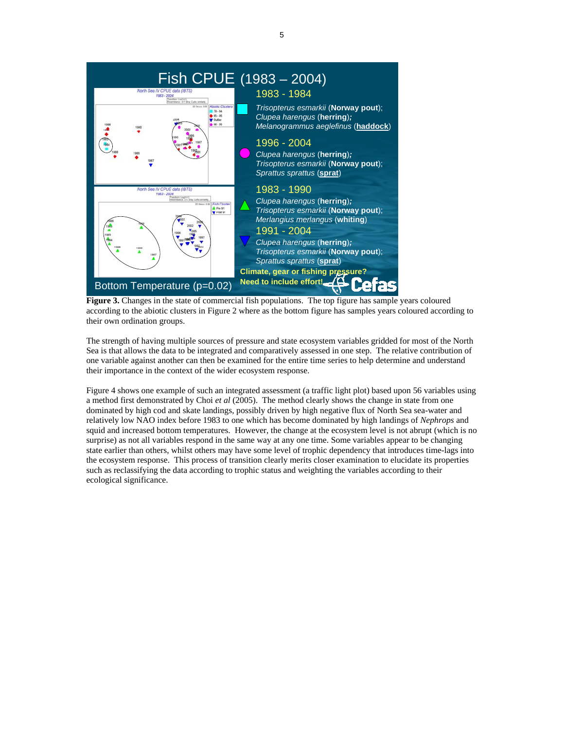

**Figure 3.** Changes in the state of commercial fish populations. The top figure has sample years coloured according to the abiotic clusters in Figure 2 where as the bottom figure has samples years coloured according to their own ordination groups.

The strength of having multiple sources of pressure and state ecosystem variables gridded for most of the North Sea is that allows the data to be integrated and comparatively assessed in one step. The relative contribution of one variable against another can then be examined for the entire time series to help determine and understand their importance in the context of the wider ecosystem response.

Figure 4 shows one example of such an integrated assessment (a traffic light plot) based upon 56 variables using a method first demonstrated by Choi *et al* (2005). The method clearly shows the change in state from one dominated by high cod and skate landings, possibly driven by high negative flux of North Sea sea-water and relatively low NAO index before 1983 to one which has become dominated by high landings of *Nephrops* and squid and increased bottom temperatures. However, the change at the ecosystem level is not abrupt (which is no surprise) as not all variables respond in the same way at any one time. Some variables appear to be changing state earlier than others, whilst others may have some level of trophic dependency that introduces time-lags into the ecosystem response. This process of transition clearly merits closer examination to elucidate its properties such as reclassifying the data according to trophic status and weighting the variables according to their ecological significance.